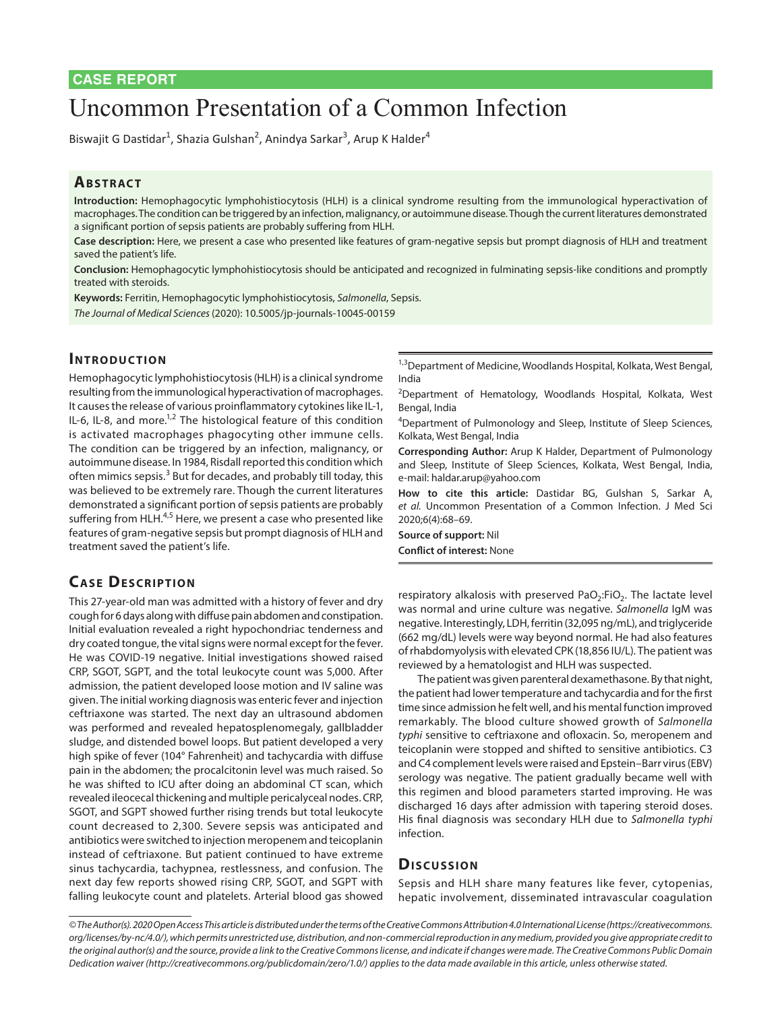# Uncommon Presentation of a Common Infection

Biswajit G Dastidar<sup>1</sup>, Shazia Gulshan<sup>2</sup>, Anindya Sarkar<sup>3</sup>, Arup K Halder<sup>4</sup>

## **ABSTRACT**

**Introduction:** Hemophagocytic lymphohistiocytosis (HLH) is a clinical syndrome resulting from the immunological hyperactivation of macrophages. The condition can be triggered by an infection, malignancy, or autoimmune disease. Though the current literatures demonstrated a significant portion of sepsis patients are probably suffering from HLH.

**Case description:** Here, we present a case who presented like features of gram-negative sepsis but prompt diagnosis of HLH and treatment saved the patient's life.

**Conclusion:** Hemophagocytic lymphohistiocytosis should be anticipated and recognized in fulminating sepsis-like conditions and promptly treated with steroids.

**Keywords:** Ferritin, Hemophagocytic lymphohistiocytosis, *Salmonella*, Sepsis.

*The Journal of Medical Sciences* (2020): 10.5005/jp-journals-10045-00159

### **INTRODUCTION**

Hemophagocytic lymphohistiocytosis (HLH) is a clinical syndrome resulting from the immunological hyperactivation of macrophages. It causes the release of various proinflammatory cytokines like IL-1, IL-6, IL-8, and more.<sup>1,2</sup> The histological feature of this condition is activated macrophages phagocyting other immune cells. The condition can be triggered by an infection, malignancy, or autoimmune disease. In 1984, Risdall reported this condition which often mimics sepsis.<sup>3</sup> But for decades, and probably till today, this was believed to be extremely rare. Though the current literatures demonstrated a significant portion of sepsis patients are probably suffering from HLH. $4,5$  Here, we present a case who presented like features of gram-negative sepsis but prompt diagnosis of HLH and treatment saved the patient's life.

## **CASE DESCRIPTION**

This 27-year-old man was admitted with a history of fever and dry cough for 6 days along with diffuse pain abdomen and constipation. Initial evaluation revealed a right hypochondriac tenderness and dry coated tongue, the vital signs were normal except for the fever. He was COVID-19 negative. Initial investigations showed raised CRP, SGOT, SGPT, and the total leukocyte count was 5,000. After admission, the patient developed loose motion and IV saline was given. The initial working diagnosis was enteric fever and injection ceftriaxone was started. The next day an ultrasound abdomen was performed and revealed hepatosplenomegaly, gallbladder sludge, and distended bowel loops. But patient developed a very high spike of fever (104° Fahrenheit) and tachycardia with diffuse pain in the abdomen; the procalcitonin level was much raised. So he was shifted to ICU after doing an abdominal CT scan, which revealed ileocecal thickening and multiple pericalyceal nodes. CRP, SGOT, and SGPT showed further rising trends but total leukocyte count decreased to 2,300. Severe sepsis was anticipated and antibiotics were switched to injection meropenem and teicoplanin instead of ceftriaxone. But patient continued to have extreme sinus tachycardia, tachypnea, restlessness, and confusion. The next day few reports showed rising CRP, SGOT, and SGPT with falling leukocyte count and platelets. Arterial blood gas showed

1,3Department of Medicine, Woodlands Hospital, Kolkata, West Bengal, India

<sup>2</sup>Department of Hematology, Woodlands Hospital, Kolkata, West Bengal, India

<sup>4</sup>Department of Pulmonology and Sleep, Institute of Sleep Sciences, Kolkata, West Bengal, India

**Corresponding Author:** Arup K Halder, Department of Pulmonology and Sleep, Institute of Sleep Sciences, Kolkata, West Bengal, India, e-mail: haldar.arup@yahoo.com

**How to cite this article:** Dastidar BG, Gulshan S, Sarkar A, *et al.* Uncommon Presentation of a Common Infection. J Med Sci 2020;6(4):68–69.

**Source of support:** Nil **Conflict of interest:** None

respiratory alkalosis with preserved PaO<sub>2</sub>:FiO<sub>2</sub>. The lactate level was normal and urine culture was negative. *Salmonella* IgM was negative. Interestingly, LDH, ferritin (32,095 ng/mL), and triglyceride (662 mg/dL) levels were way beyond normal. He had also features of rhabdomyolysis with elevated CPK (18,856 IU/L). The patient was reviewed by a hematologist and HLH was suspected.

The patient was given parenteral dexamethasone. By that night, the patient had lower temperature and tachycardia and for the first time since admission he felt well, and his mental function improved remarkably. The blood culture showed growth of *Salmonella typhi* sensitive to ceftriaxone and ofloxacin. So, meropenem and teicoplanin were stopped and shifted to sensitive antibiotics. C3 and C4 complement levels were raised and Epstein–Barr virus (EBV) serology was negative. The patient gradually became well with this regimen and blood parameters started improving. He was discharged 16 days after admission with tapering steroid doses. His final diagnosis was secondary HLH due to *Salmonella typhi* infection.

#### **Dis c u s sio n**

Sepsis and HLH share many features like fever, cytopenias, hepatic involvement, disseminated intravascular coagulation

*<sup>©</sup> The Author(s). 2020 Open Access This article is distributed under the terms of the Creative Commons Attribution 4.0 International License (https://creativecommons. org/licenses/by-nc/4.0/), which permits unrestricted use, distribution, and non-commercial reproduction in any medium, provided you give appropriate credit to the original author(s) and the source, provide a link to the Creative Commons license, and indicate if changes were made. The Creative Commons Public Domain Dedication waiver (http://creativecommons.org/publicdomain/zero/1.0/) applies to the data made available in this article, unless otherwise stated.*